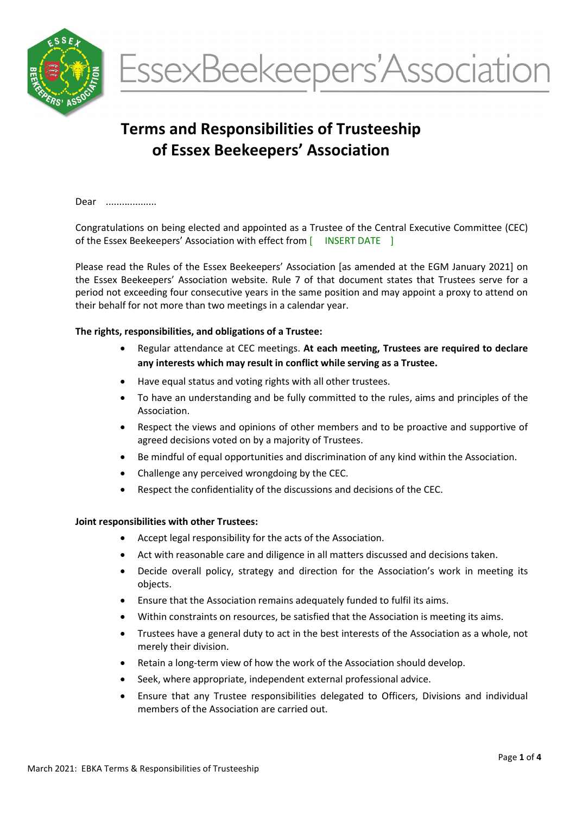



# Terms and Responsibilities of Trusteeship of Essex Beekeepers' Association

Dear ....................

Congratulations on being elected and appointed as a Trustee of the Central Executive Committee (CEC) of the Essex Beekeepers' Association with effect from [ INSERT DATE ]

Please read the Rules of the Essex Beekeepers' Association [as amended at the EGM January 2021] on the Essex Beekeepers' Association website. Rule 7 of that document states that Trustees serve for a period not exceeding four consecutive years in the same position and may appoint a proxy to attend on their behalf for not more than two meetings in a calendar year.

#### The rights, responsibilities, and obligations of a Trustee:

- Regular attendance at CEC meetings. At each meeting, Trustees are required to declare any interests which may result in conflict while serving as a Trustee.
- Have equal status and voting rights with all other trustees.
- To have an understanding and be fully committed to the rules, aims and principles of the Association.
- Respect the views and opinions of other members and to be proactive and supportive of agreed decisions voted on by a majority of Trustees.
- Be mindful of equal opportunities and discrimination of any kind within the Association.
- Challenge any perceived wrongdoing by the CEC.
- Respect the confidentiality of the discussions and decisions of the CEC.

#### Joint responsibilities with other Trustees:

- Accept legal responsibility for the acts of the Association.
- Act with reasonable care and diligence in all matters discussed and decisions taken.
- Decide overall policy, strategy and direction for the Association's work in meeting its objects.
- Ensure that the Association remains adequately funded to fulfil its aims.
- Within constraints on resources, be satisfied that the Association is meeting its aims.
- Trustees have a general duty to act in the best interests of the Association as a whole, not merely their division.
- Retain a long-term view of how the work of the Association should develop.
- Seek, where appropriate, independent external professional advice.
- Ensure that any Trustee responsibilities delegated to Officers, Divisions and individual members of the Association are carried out.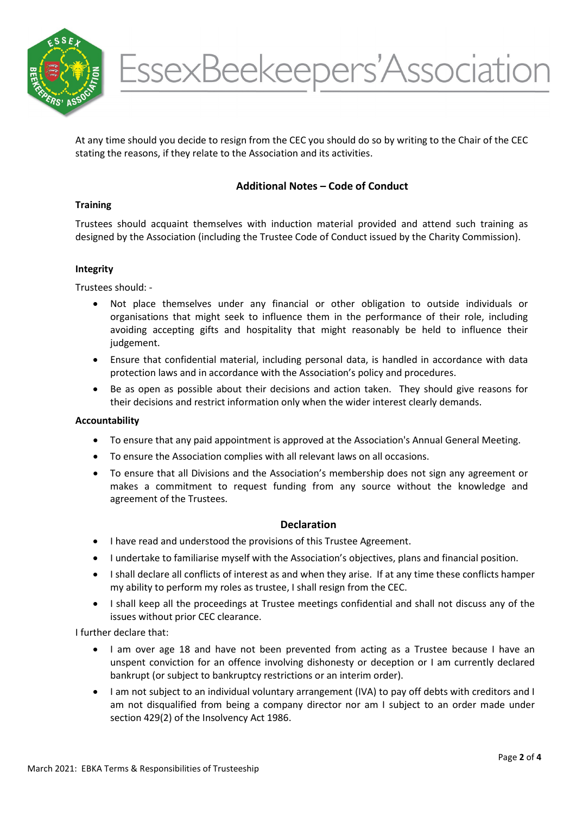

At any time should you decide to resign from the CEC you should do so by writing to the Chair of the CEC stating the reasons, if they relate to the Association and its activities.

# Additional Notes – Code of Conduct

#### **Training**

Trustees should acquaint themselves with induction material provided and attend such training as designed by the Association (including the Trustee Code of Conduct issued by the Charity Commission).

#### Integrity

Trustees should: -

- Not place themselves under any financial or other obligation to outside individuals or organisations that might seek to influence them in the performance of their role, including avoiding accepting gifts and hospitality that might reasonably be held to influence their judgement.
- Ensure that confidential material, including personal data, is handled in accordance with data protection laws and in accordance with the Association's policy and procedures.
- Be as open as possible about their decisions and action taken. They should give reasons for their decisions and restrict information only when the wider interest clearly demands.

#### Accountability

- To ensure that any paid appointment is approved at the Association's Annual General Meeting.
- To ensure the Association complies with all relevant laws on all occasions.
- To ensure that all Divisions and the Association's membership does not sign any agreement or makes a commitment to request funding from any source without the knowledge and agreement of the Trustees.

## **Declaration**

- I have read and understood the provisions of this Trustee Agreement.
- I undertake to familiarise myself with the Association's objectives, plans and financial position.
- I shall declare all conflicts of interest as and when they arise. If at any time these conflicts hamper my ability to perform my roles as trustee, I shall resign from the CEC.
- I shall keep all the proceedings at Trustee meetings confidential and shall not discuss any of the issues without prior CEC clearance.

I further declare that:

- I am over age 18 and have not been prevented from acting as a Trustee because I have an unspent conviction for an offence involving dishonesty or deception or I am currently declared bankrupt (or subject to bankruptcy restrictions or an interim order).
- I am not subject to an individual voluntary arrangement (IVA) to pay off debts with creditors and I am not disqualified from being a company director nor am I subject to an order made under section 429(2) of the Insolvency Act 1986.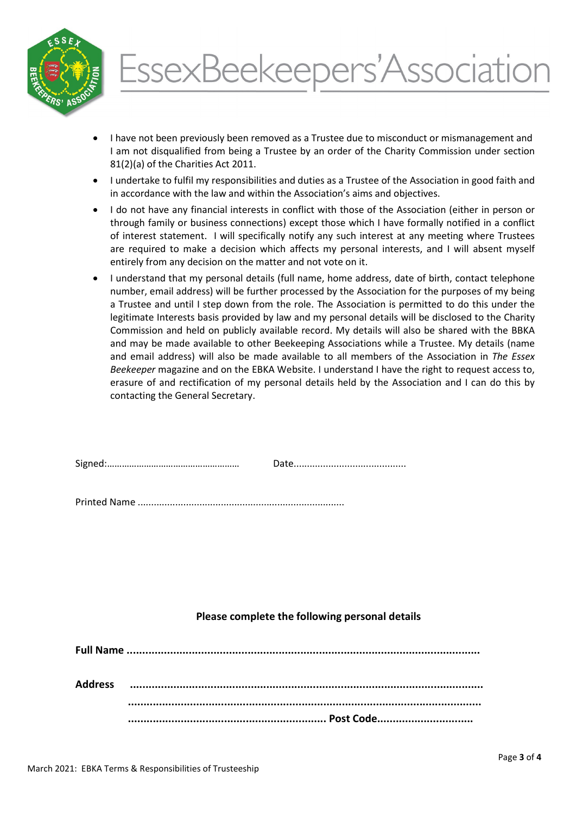

# EssexBeekeepers'Association

- I have not been previously been removed as a Trustee due to misconduct or mismanagement and I am not disqualified from being a Trustee by an order of the Charity Commission under section 81(2)(a) of the Charities Act 2011.
- I undertake to fulfil my responsibilities and duties as a Trustee of the Association in good faith and in accordance with the law and within the Association's aims and objectives.
- I do not have any financial interests in conflict with those of the Association (either in person or through family or business connections) except those which I have formally notified in a conflict of interest statement. I will specifically notify any such interest at any meeting where Trustees are required to make a decision which affects my personal interests, and I will absent myself entirely from any decision on the matter and not vote on it.
- I understand that my personal details (full name, home address, date of birth, contact telephone number, email address) will be further processed by the Association for the purposes of my being a Trustee and until I step down from the role. The Association is permitted to do this under the legitimate Interests basis provided by law and my personal details will be disclosed to the Charity Commission and held on publicly available record. My details will also be shared with the BBKA and may be made available to other Beekeeping Associations while a Trustee. My details (name and email address) will also be made available to all members of the Association in The Essex Beekeeper magazine and on the EBKA Website. I understand I have the right to request access to, erasure of and rectification of my personal details held by the Association and I can do this by contacting the General Secretary.

| $\overline{\phantom{0}}$ |  |
|--------------------------|--|
|--------------------------|--|

Printed Name .............................................................................

## Please complete the following personal details

| <b>Address</b> |  |
|----------------|--|
|                |  |